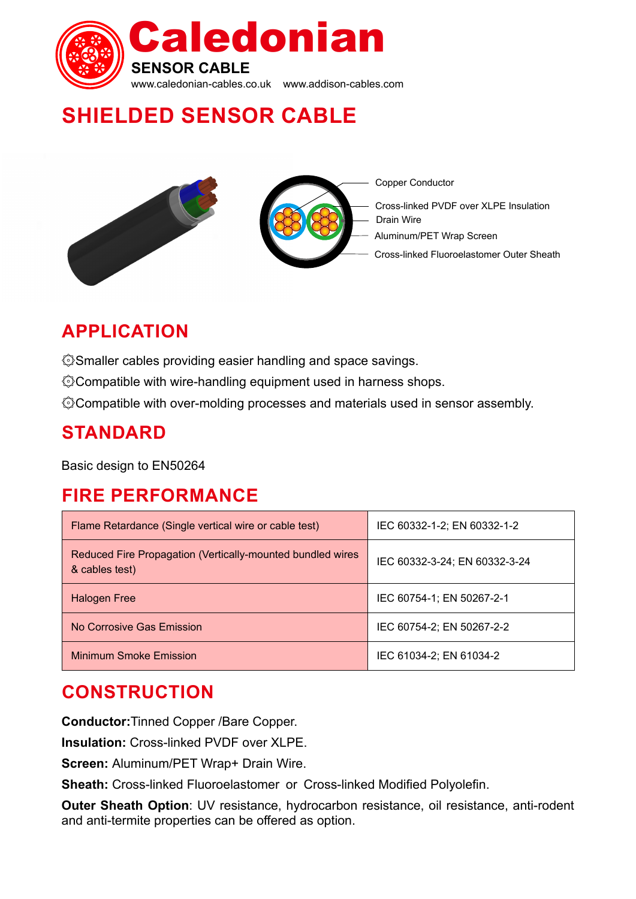

# **SHIELDED SENSOR CABLE**



# **applica tion**

۞Smaller cables providing easier handling and space savings.

۞Compatible with wire-handling equipment used in harness shops.

۞Compatible with over-molding processes and materials used in sensor assembly.

### **STANDARD**

Basic design to EN50264

### **FIRE PERFORMANCE**

| Flame Retardance (Single vertical wire or cable test)                        | IEC 60332-1-2; EN 60332-1-2   |
|------------------------------------------------------------------------------|-------------------------------|
| Reduced Fire Propagation (Vertically-mounted bundled wires<br>& cables test) | IEC 60332-3-24; EN 60332-3-24 |
| <b>Halogen Free</b>                                                          | IEC 60754-1; EN 50267-2-1     |
| No Corrosive Gas Emission                                                    | IEC 60754-2; EN 50267-2-2     |
| <b>Minimum Smoke Emission</b>                                                | IEC 61034-2; EN 61034-2       |

### **Cons truction**

**Conductor:**Tinned Copper /Bare Copper.

**Insulation:** Cross-linked PVDF over XLPE.

**Screen:** Aluminum/PET Wrap+ Drain Wire.

**Sheath:** Cross-linked Fluoroelastomer or Cross-linked Modified Polyolefin.

**Outer Sheath Option**: UV resistance, hydrocarbon resistance, oil resistance, anti-rodent and anti-termite properties can be offered as option.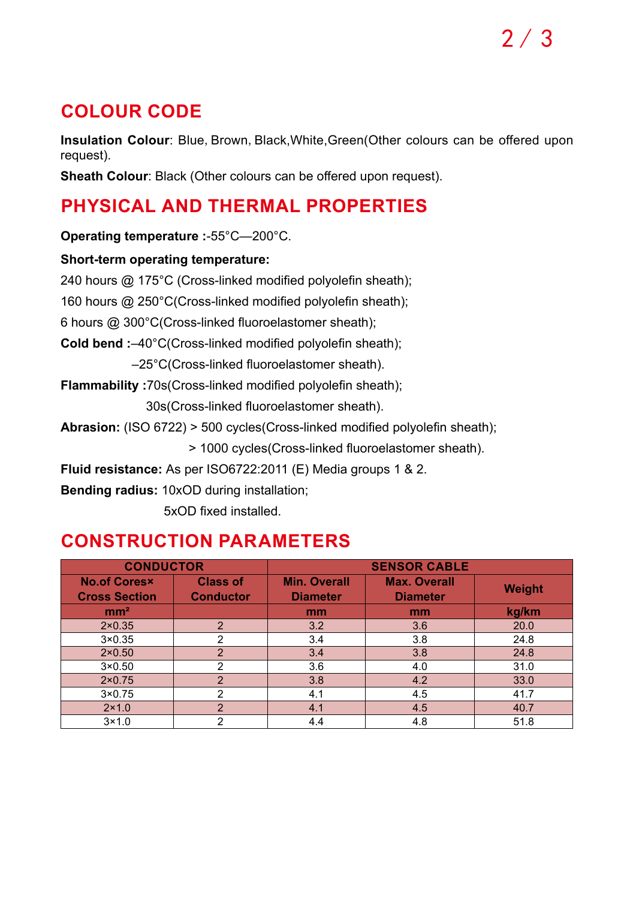# **COLOUR CODE**

**Insulation Colour**: Blue, Brown, Black, White, Green (Other colours can be offered upon request).

**Sheath Colour**: Black (Other colours can be offered upon request).

# **PHYSICAL AND THERMAL PROPERTIES**

**Operating temperature :**-55°C—200°C.

#### **Short-term operating temperature:**

240 hours @ 175°C (Cross-linked modified polyolefin sheath); 160 hours @ 250°C(Cross-linked modified polyolefin sheath); 6 hours @ 300°C(Cross-linked fluoroelastomer sheath); **Cold bend :**–40°C(Cross-linked modified polyolefin sheath); –25°C(Cross-linked fluoroelastomer sheath). **Flammability :**70s(Cross-linked modified polyolefin sheath); 30s(Cross-linked fluoroelastomer sheath). **Abrasion:** (ISO 6722) > 500 cycles(Cross-linked modified polyolefin sheath); > 1000 cycles(Cross-linked fluoroelastomer sheath).

**Fluid resistance:** As per ISO6722:2011 (E) Media groups 1 & 2.

**Bending radius:** 10xOD during installation;

5xOD fixed installed.

### **CONSTRUCTION PARAMETERS**

|                                             | <b>CONDUCTOR</b>                    |                                        | <b>SENSOR CABLE</b>                    |               |
|---------------------------------------------|-------------------------------------|----------------------------------------|----------------------------------------|---------------|
| <b>No.of Coresx</b><br><b>Cross Section</b> | <b>Class of</b><br><b>Conductor</b> | <b>Min. Overall</b><br><b>Diameter</b> | <b>Max. Overall</b><br><b>Diameter</b> | <b>Weight</b> |
| mm <sup>2</sup>                             |                                     | mm                                     | mm                                     | kg/km         |
| $2 \times 0.35$                             | $\overline{2}$                      | 3.2                                    | 3.6                                    | 20.0          |
| $3 \times 0.35$                             | ◠                                   | 3.4                                    | 3.8                                    | 24.8          |
| $2 \times 0.50$                             | $\overline{2}$                      | 3.4                                    | 3.8                                    | 24.8          |
| $3\times0.50$                               | 2                                   | 3.6                                    | 4.0                                    | 31.0          |
| $2\times0.75$                               | $\overline{2}$                      | 3.8                                    | 4.2                                    | 33.0          |
| $3\times0.75$                               | ◠                                   | 4.1                                    | 4.5                                    | 41.7          |
| $2 \times 1.0$                              | $\overline{2}$                      | 4.1                                    | 4.5                                    | 40.7          |
| $3\times1.0$                                | 2                                   | 4.4                                    | 4.8                                    | 51.8          |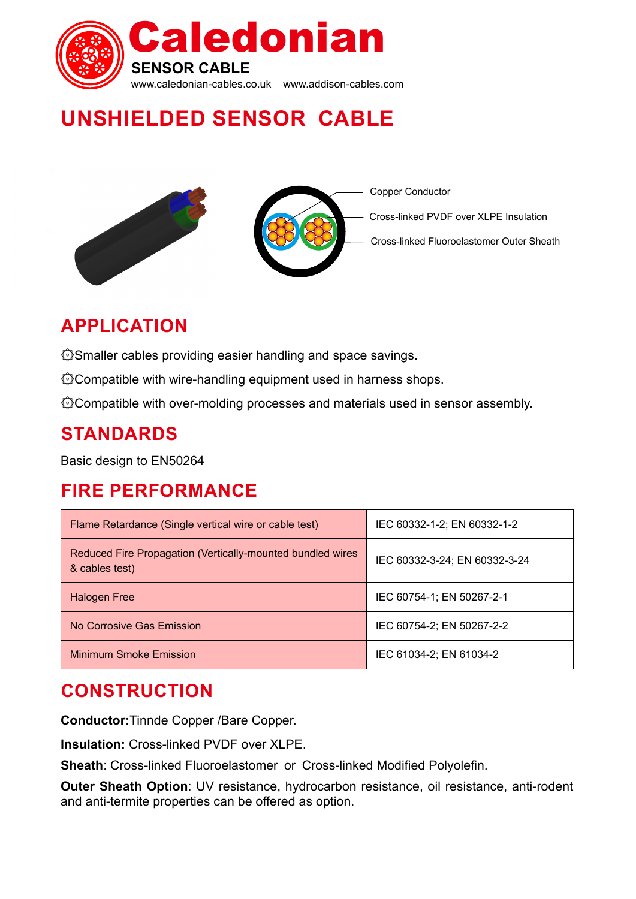

# **UNSHIELDED SENSOR CABLE**





Copper Conductor

Cross-linked PVDF over XLPE Insulation

Cross-linked Fluoroelastomer Outer Sheath

# **APP LICATION**

۞Smaller cables providing easier handling and space savings.

۞Compatible with wire-handling equipment used in harness shops.

۞Compatible with over-molding processes and materials used in sensor assembly.

### **STANDARDS**

Basic design to EN50264

# **FIRE PERFORMANCE**

| Flame Retardance (Single vertical wire or cable test)                        | IEC 60332-1-2; EN 60332-1-2   |
|------------------------------------------------------------------------------|-------------------------------|
| Reduced Fire Propagation (Vertically-mounted bundled wires<br>& cables test) | IEC 60332-3-24; EN 60332-3-24 |
| <b>Halogen Free</b>                                                          | IEC 60754-1; EN 50267-2-1     |
| No Corrosive Gas Emission                                                    | IEC 60754-2; EN 50267-2-2     |
| <b>Minimum Smoke Emission</b>                                                | IEC 61034-2; EN 61034-2       |

## **construction**

**Conductor:**Tinnde Copper /Bare Copper.

**Insulation:** Cross-linked PVDF over XLPE.

**Sheath**: Cross-linked Fluoroelastomer or Cross-linked Modified Polyolefin.

**Outer Sheath Option**: UV resistance, hydrocarbon resistance, oil resistance, anti-rodent and anti-termite properties can be offered as option.